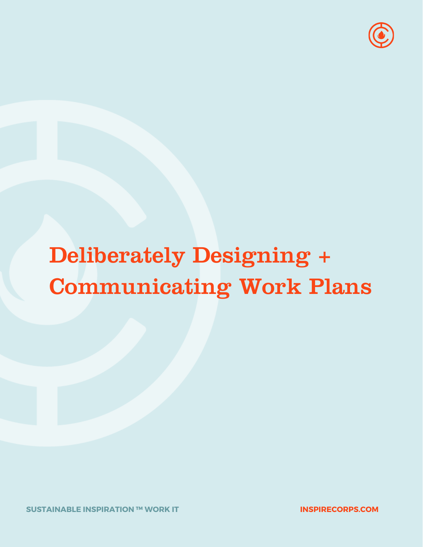

# Deliberately Designing + Communicating Work Plans

**INSPIRECORPS.COM**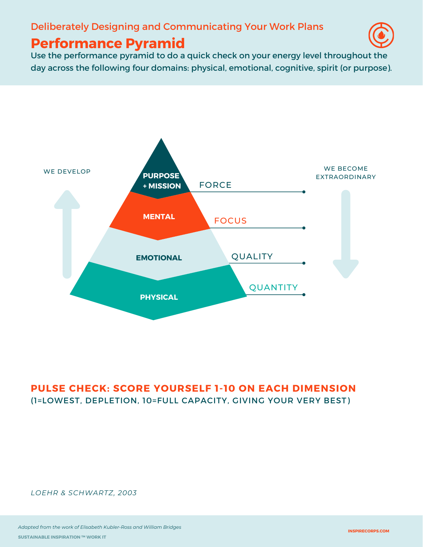#### Deliberately Designing and Communicating Your Work Plans

# **Performance Pyramid**



Use the performance pyramid to do a quick check on your energy level throughout the day across the following four domains: physical, emotional, cognitive, spirit (or purpose).



#### **PULSE CHECK: SCORE YOURSELF 1-10 ON EACH DIMENSION** (1=LOWEST, DEPLETION, 10=FULL CAPACITY, GIVING YOUR VERY BEST)

*LOEHR & SCHWARTZ, 2003*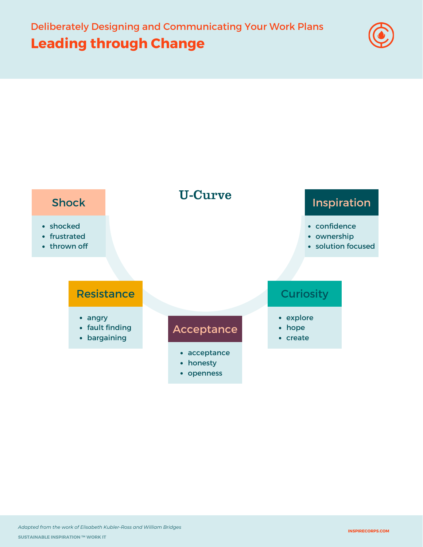# **Leading through Change**



## Shock

- shocked
- frustrated
- thrown off

- angry
- fault finding
- bargaining

#### Acceptance

U-Curve

- acceptance
- honesty
- openness

# Inspiration

- confidence
- ownership
- solution focused

### Resistance **Curiosity** Curiosity

- explore
- hope
- create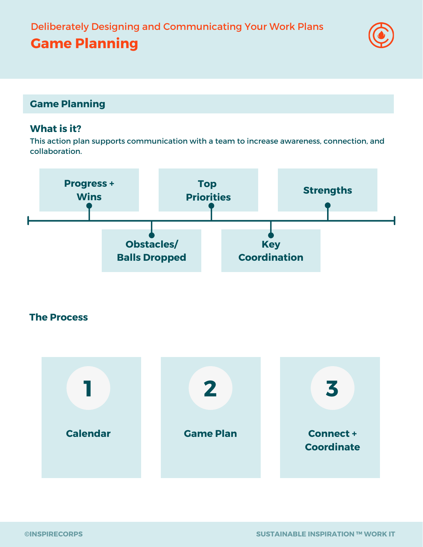#### **Game Planning**

**Game Planning**

#### **What is it?**

This action plan supports communication with a team to increase awareness, connection, and collaboration.



#### **The Process**

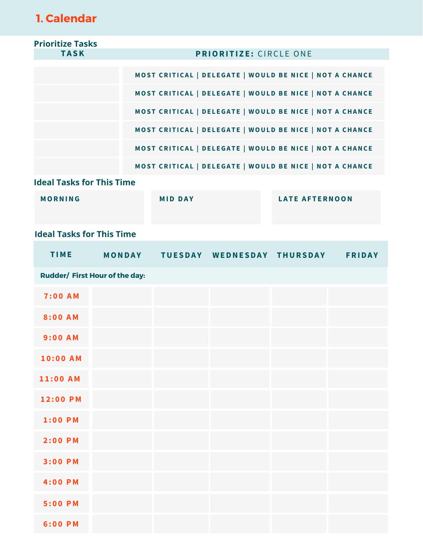# **1. Calendar**

| <b>Prioritize Tasks</b>          |  |                                                         |                                                         |  |                       |  |
|----------------------------------|--|---------------------------------------------------------|---------------------------------------------------------|--|-----------------------|--|
| <b>TASK</b>                      |  | <b>PRIORITIZE: CIRCLE ONE</b>                           |                                                         |  |                       |  |
|                                  |  | MOST CRITICAL   DELEGATE   WOULD BE NICE   NOT A CHANCE |                                                         |  |                       |  |
|                                  |  |                                                         | MOST CRITICAL   DELEGATE   WOULD BE NICE   NOT A CHANCE |  |                       |  |
|                                  |  |                                                         | MOST CRITICAL   DELEGATE   WOULD BE NICE   NOT A CHANCE |  |                       |  |
|                                  |  | MOST CRITICAL   DELEGATE   WOULD BE NICE   NOT A CHANCE |                                                         |  |                       |  |
|                                  |  | MOST CRITICAL   DELEGATE   WOULD BE NICE   NOT A CHANCE |                                                         |  |                       |  |
|                                  |  |                                                         | MOST CRITICAL   DELEGATE   WOULD BE NICE   NOT A CHANCE |  |                       |  |
| <b>Ideal Tasks for This Time</b> |  |                                                         |                                                         |  |                       |  |
| <b>MORNING</b>                   |  |                                                         | <b>MID DAY</b>                                          |  | <b>LATE AFTERNOON</b> |  |
| <b>Ideal Tasks for This Time</b> |  |                                                         |                                                         |  |                       |  |
| <b>TIME</b>                      |  |                                                         | MONDAY TUESDAY WEDNESDAY THURSDAY FRIDAY                |  |                       |  |
| Rudder/ First Hour of the day:   |  |                                                         |                                                         |  |                       |  |
| <b>7:00 AM</b>                   |  |                                                         |                                                         |  |                       |  |
| 8:00 AM                          |  |                                                         |                                                         |  |                       |  |
| $9:00$ AM                        |  |                                                         |                                                         |  |                       |  |
| 10:00 AM                         |  |                                                         |                                                         |  |                       |  |
| 11:00 AM                         |  |                                                         |                                                         |  |                       |  |
| 12:00 PM                         |  |                                                         |                                                         |  |                       |  |
| $1:00$ PM                        |  |                                                         |                                                         |  |                       |  |
| $2:00$ PM                        |  |                                                         |                                                         |  |                       |  |
| 3:00 PM                          |  |                                                         |                                                         |  |                       |  |
| 4:00 PM                          |  |                                                         |                                                         |  |                       |  |
| 5:00 PM                          |  |                                                         |                                                         |  |                       |  |
| 6:00 PM                          |  |                                                         |                                                         |  |                       |  |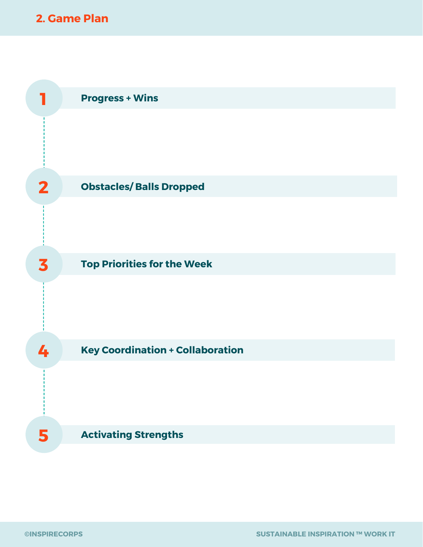### **2. Game Plan**

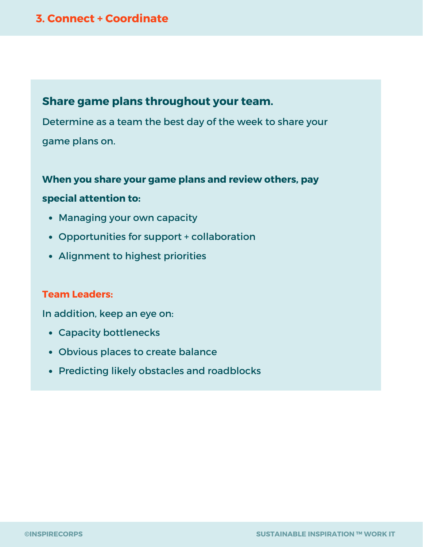#### **3. Connect + Coordinate**

#### **Share game plans throughout your team.**

Determine as a team the best day of the week to share your game plans on.

#### **When you share your game plans and review others, pay**

#### **special attention to:**

- Managing your own capacity
- Opportunities for support + collaboration
- Alignment to highest priorities

#### **Team Leaders:**

In addition, keep an eye on:

- Capacity bottlenecks
- Obvious places to create balance
- Predicting likely obstacles and roadblocks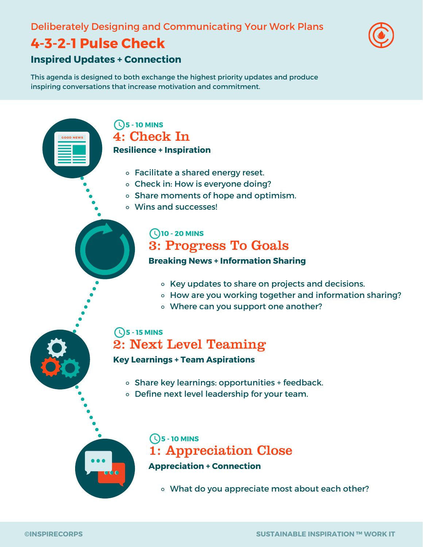#### Deliberately Designing and Communicating Your Work Plans

# **4-3-2-1 Pulse Check**

**GOOD NEWS**



#### **Inspired Updates + Connection**

This agenda is designed to both exchange the highest priority updates and produce inspiring conversations that increase motivation and commitment.

#### **5 - 10 MINS** 4: Check In **Resilience + Inspiration**

- Facilitate a shared energy reset.
- Check in: How is everyone doing?
- o Share moments of hope and optimism.
- Wins and successes!

#### **10 - 20 MINS**

# 3: Progress To Goals

#### **Breaking News + Information Sharing**

- o Key updates to share on projects and decisions.
- How are you working together and information sharing?
- Where can you support one another?

#### **5 - 15 MINS** 2: Next Level Teaming

#### **Key Learnings + Team Aspirations**

- o Share key learnings: opportunities + feedback.
- Define next level leadership for your team.



**5 - 10 MINS** 1: Appreciation Close **Appreciation + Connection**

What do you appreciate most about each other?